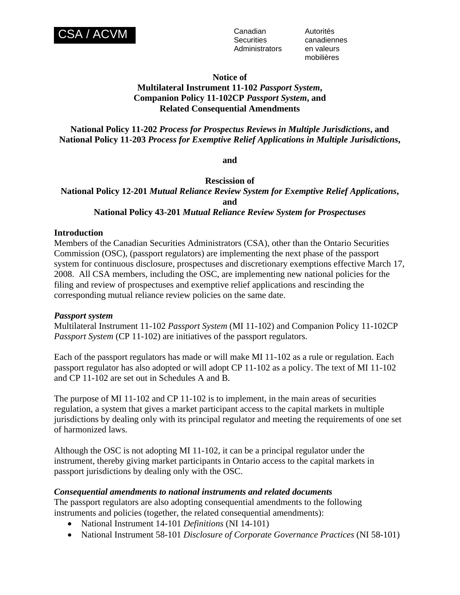

**Securities** Administrators en valeurs

Autorités canadiennes mobilières

#### **Notice of**

# **Multilateral Instrument 11-102** *Passport System***, Companion Policy 11-102CP** *Passport System***, and** **Related Consequential Amendments**

# **National Policy 11-202** *Process for Prospectus Reviews in Multiple Jurisdictions***, and National Policy 11-203** *Process for Exemptive Relief Applications in Multiple Jurisdictions***,**

**and** 

**Rescission of National Policy 12-201** *Mutual Reliance Review System for Exemptive Relief Applications***, and National Policy 43-201** *Mutual Reliance Review System for Prospectuses*

## **Introduction**

Members of the Canadian Securities Administrators (CSA), other than the Ontario Securities Commission (OSC), (passport regulators) are implementing the next phase of the passport system for continuous disclosure, prospectuses and discretionary exemptions effective March 17, 2008. All CSA members, including the OSC, are implementing new national policies for the filing and review of prospectuses and exemptive relief applications and rescinding the corresponding mutual reliance review policies on the same date.

## *Passport system*

Multilateral Instrument 11-102 *Passport System* (MI 11-102) and Companion Policy 11-102CP *Passport System (CP 11-102)* are initiatives of the passport regulators.

Each of the passport regulators has made or will make MI 11-102 as a rule or regulation. Each passport regulator has also adopted or will adopt CP 11-102 as a policy. The text of MI 11-102 and CP 11-102 are set out in Schedules A and B.

The purpose of MI 11-102 and CP 11-102 is to implement, in the main areas of securities regulation, a system that gives a market participant access to the capital markets in multiple jurisdictions by dealing only with its principal regulator and meeting the requirements of one set of harmonized laws.

Although the OSC is not adopting MI 11-102, it can be a principal regulator under the instrument, thereby giving market participants in Ontario access to the capital markets in passport jurisdictions by dealing only with the OSC.

## *Consequential amendments to national instruments and related documents*

The passport regulators are also adopting consequential amendments to the following instruments and policies (together, the related consequential amendments):

- National Instrument 14-101 *Definitions* (NI 14-101)
- National Instrument 58-101 *Disclosure of Corporate Governance Practices* (NI 58-101)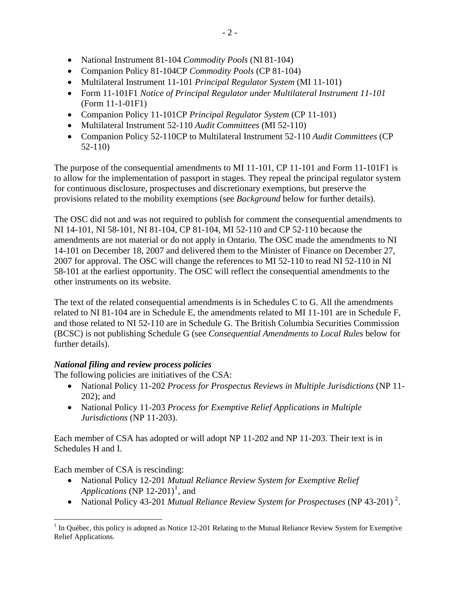- National Instrument 81-104 *Commodity Pools* (NI 81-104)
- Companion Policy 81-104CP *Commodity Pools* (CP 81-104)
- Multilateral Instrument 11-101 *Principal Regulator System* (MI 11-101)
- Form 11-101F1 *Notice of Principal Regulator under Multilateral Instrument 11-101* (Form 11-1-01F1)
- Companion Policy 11-101CP *Principal Regulator System* (CP 11-101)
- Multilateral Instrument 52-110 *Audit Committees* (MI 52-110)
- Companion Policy 52-110CP to Multilateral Instrument 52-110 *Audit Committees* (CP 52-110)

The purpose of the consequential amendments to MI 11-101, CP 11-101 and Form 11-101F1 is to allow for the implementation of passport in stages. They repeal the principal regulator system for continuous disclosure, prospectuses and discretionary exemptions, but preserve the provisions related to the mobility exemptions (see *Background* below for further details).

The OSC did not and was not required to publish for comment the consequential amendments to NI 14-101, NI 58-101, NI 81-104, CP 81-104, MI 52-110 and CP 52-110 because the amendments are not material or do not apply in Ontario. The OSC made the amendments to NI 14-101 on December 18, 2007 and delivered them to the Minister of Finance on December 27, 2007 for approval. The OSC will change the references to MI 52-110 to read NI 52-110 in NI 58-101 at the earliest opportunity. The OSC will reflect the consequential amendments to the other instruments on its website.

The text of the related consequential amendments is in Schedules C to G. All the amendments related to NI 81-104 are in Schedule E, the amendments related to MI 11-101 are in Schedule F, and those related to NI 52-110 are in Schedule G. The British Columbia Securities Commission (BCSC) is not publishing Schedule G (see *Consequential Amendments to Local Rules* below for further details).

# *National filing and review process policies*

The following policies are initiatives of the CSA:

- National Policy 11-202 *Process for Prospectus Reviews in Multiple Jurisdictions* (NP 11- 202); and
- National Policy 11-203 *Process for Exemptive Relief Applications in Multiple Jurisdictions* (NP 11-203).

Each member of CSA has adopted or will adopt NP 11-202 and NP 11-203. Their text is in Schedules H and I.

Each member of CSA is rescinding:

- National Policy 12-201 *Mutual Reliance Review System for Exemptive Relief*  Applications (NP  $12-201$  $12-201$ )<sup>1</sup>, and
- National Policy 43-[2](#page-1-0)01 *Mutual Reliance Review System for Prospectuses* (NP 43-201)<sup>2</sup>.

<span id="page-1-0"></span><sup>&</sup>lt;sup>1</sup> In Québec, this policy is adopted as Notice 12-201 Relating to the Mutual Reliance Review System for Exemptive Relief Applications.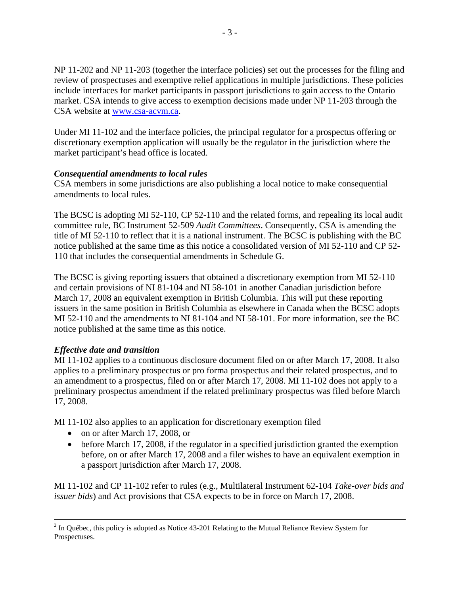NP 11-202 and NP 11-203 (together the interface policies) set out the processes for the filing and review of prospectuses and exemptive relief applications in multiple jurisdictions. These policies include interfaces for market participants in passport jurisdictions to gain access to the Ontario market. CSA intends to give access to exemption decisions made under NP 11-203 through the CSA website at [www.csa-acvm.ca.](http://www.csa-acvm.ca/)

Under MI 11-102 and the interface policies, the principal regulator for a prospectus offering or discretionary exemption application will usually be the regulator in the jurisdiction where the market participant's head office is located.

# *Consequential amendments to local rules*

CSA members in some jurisdictions are also publishing a local notice to make consequential amendments to local rules.

The BCSC is adopting MI 52-110, CP 52-110 and the related forms, and repealing its local audit committee rule, BC Instrument 52-509 *Audit Committees*. Consequently, CSA is amending the title of MI 52-110 to reflect that it is a national instrument. The BCSC is publishing with the BC notice published at the same time as this notice a consolidated version of MI 52-110 and CP 52- 110 that includes the consequential amendments in Schedule G.

The BCSC is giving reporting issuers that obtained a discretionary exemption from MI 52-110 and certain provisions of NI 81-104 and NI 58-101 in another Canadian jurisdiction before March 17, 2008 an equivalent exemption in British Columbia. This will put these reporting issuers in the same position in British Columbia as elsewhere in Canada when the BCSC adopts MI 52-110 and the amendments to NI 81-104 and NI 58-101. For more information, see the BC notice published at the same time as this notice.

# *Effective date and transition*

MI 11-102 applies to a continuous disclosure document filed on or after March 17, 2008. It also applies to a preliminary prospectus or pro forma prospectus and their related prospectus, and to an amendment to a prospectus, filed on or after March 17, 2008. MI 11-102 does not apply to a preliminary prospectus amendment if the related preliminary prospectus was filed before March 17, 2008.

MI 11-102 also applies to an application for discretionary exemption filed

- on or after March 17, 2008, or
- before March 17, 2008, if the regulator in a specified jurisdiction granted the exemption before, on or after March 17, 2008 and a filer wishes to have an equivalent exemption in a passport jurisdiction after March 17, 2008.

MI 11-102 and CP 11-102 refer to rules (e.g., Multilateral Instrument 62-104 *Take-over bids and issuer bids*) and Act provisions that CSA expects to be in force on March 17, 2008.

 $\frac{1}{2}$  $2$  In Québec, this policy is adopted as Notice 43-201 Relating to the Mutual Reliance Review System for Prospectuses.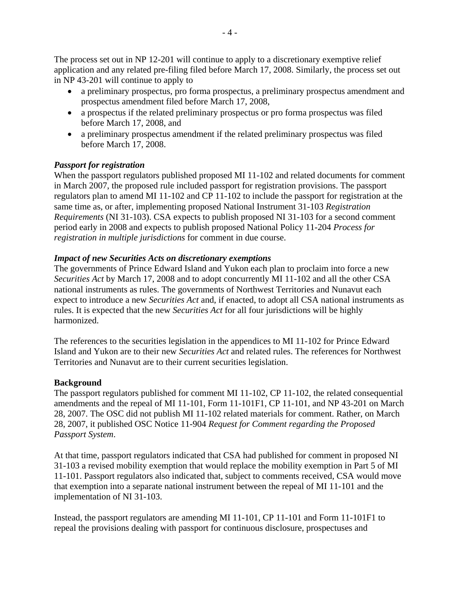The process set out in NP 12-201 will continue to apply to a discretionary exemptive relief application and any related pre-filing filed before March 17, 2008. Similarly, the process set out in NP 43-201 will continue to apply to

- a preliminary prospectus, pro forma prospectus, a preliminary prospectus amendment and prospectus amendment filed before March 17, 2008,
- a prospectus if the related preliminary prospectus or pro forma prospectus was filed before March 17, 2008, and
- a preliminary prospectus amendment if the related preliminary prospectus was filed before March 17, 2008.

# *Passport for registration*

When the passport regulators published proposed MI 11-102 and related documents for comment in March 2007, the proposed rule included passport for registration provisions. The passport regulators plan to amend MI 11-102 and CP 11-102 to include the passport for registration at the same time as, or after, implementing proposed National Instrument 31-103 *Registration Requirements* (NI 31-103). CSA expects to publish proposed NI 31-103 for a second comment period early in 2008 and expects to publish proposed National Policy 11-204 *Process for registration in multiple jurisdictions* for comment in due course.

# *Impact of new Securities Acts on discretionary exemptions*

The governments of Prince Edward Island and Yukon each plan to proclaim into force a new *Securities Act* by March 17, 2008 and to adopt concurrently MI 11-102 and all the other CSA national instruments as rules. The governments of Northwest Territories and Nunavut each expect to introduce a new *Securities Act* and, if enacted, to adopt all CSA national instruments as rules. It is expected that the new *Securities Act* for all four jurisdictions will be highly harmonized.

The references to the securities legislation in the appendices to MI 11-102 for Prince Edward Island and Yukon are to their new *Securities Act* and related rules. The references for Northwest Territories and Nunavut are to their current securities legislation.

## **Background**

The passport regulators published for comment MI 11-102, CP 11-102, the related consequential amendments and the repeal of MI 11-101, Form 11-101F1, CP 11-101, and NP 43-201 on March 28, 2007. The OSC did not publish MI 11-102 related materials for comment. Rather, on March 28, 2007, it published OSC Notice 11-904 *Request for Comment regarding the Proposed Passport System*.

At that time, passport regulators indicated that CSA had published for comment in proposed NI 31-103 a revised mobility exemption that would replace the mobility exemption in Part 5 of MI 11-101. Passport regulators also indicated that, subject to comments received, CSA would move that exemption into a separate national instrument between the repeal of MI 11-101 and the implementation of NI 31-103.

Instead, the passport regulators are amending MI 11-101, CP 11-101 and Form 11-101F1 to repeal the provisions dealing with passport for continuous disclosure, prospectuses and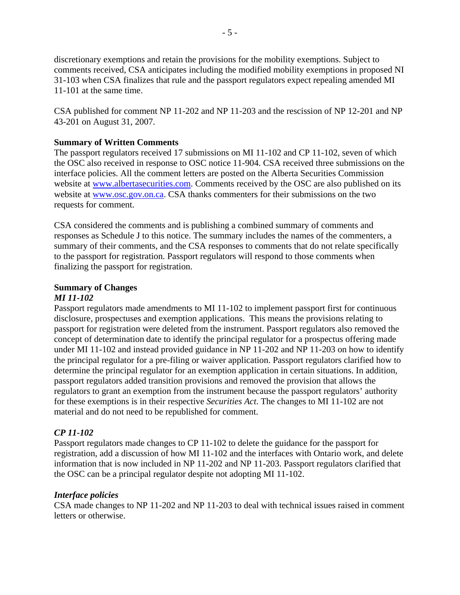discretionary exemptions and retain the provisions for the mobility exemptions. Subject to comments received, CSA anticipates including the modified mobility exemptions in proposed NI 31-103 when CSA finalizes that rule and the passport regulators expect repealing amended MI 11-101 at the same time.

CSA published for comment NP 11-202 and NP 11-203 and the rescission of NP 12-201 and NP 43-201 on August 31, 2007.

# **Summary of Written Comments**

The passport regulators received 17 submissions on MI 11-102 and CP 11-102, seven of which the OSC also received in response to OSC notice 11-904. CSA received three submissions on the interface policies. All the comment letters are posted on the Alberta Securities Commission website at [www.albertasecurities.com.](http://www.albertasecurities.com/) Comments received by the OSC are also published on its website at [www.osc.gov.on.ca.](http://www.osc.gov.on.ca/) CSA thanks commenters for their submissions on the two requests for comment.

CSA considered the comments and is publishing a combined summary of comments and responses as Schedule J to this notice. The summary includes the names of the commenters, a summary of their comments, and the CSA responses to comments that do not relate specifically to the passport for registration. Passport regulators will respond to those comments when finalizing the passport for registration.

# **Summary of Changes**

# *MI 11-102*

Passport regulators made amendments to MI 11-102 to implement passport first for continuous disclosure, prospectuses and exemption applications. This means the provisions relating to passport for registration were deleted from the instrument. Passport regulators also removed the concept of determination date to identify the principal regulator for a prospectus offering made under MI 11-102 and instead provided guidance in NP 11-202 and NP 11-203 on how to identify the principal regulator for a pre-filing or waiver application. Passport regulators clarified how to determine the principal regulator for an exemption application in certain situations. In addition, passport regulators added transition provisions and removed the provision that allows the regulators to grant an exemption from the instrument because the passport regulators' authority for these exemptions is in their respective *Securities Act*. The changes to MI 11-102 are not material and do not need to be republished for comment.

# *CP 11-102*

Passport regulators made changes to CP 11-102 to delete the guidance for the passport for registration, add a discussion of how MI 11-102 and the interfaces with Ontario work, and delete information that is now included in NP 11-202 and NP 11-203. Passport regulators clarified that the OSC can be a principal regulator despite not adopting MI 11-102.

## *Interface policies*

CSA made changes to NP 11-202 and NP 11-203 to deal with technical issues raised in comment letters or otherwise.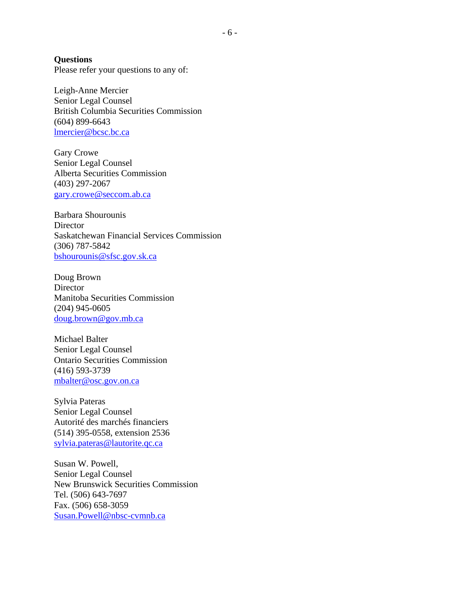**Questions**  Please refer your questions to any of:

Leigh-Anne Mercier Senior Legal Counsel British Columbia Securities Commission (604) 899-6643 [lmercier@bcsc.bc.ca](mailto:lmercier@bcsc.bc.ca)

Gary Crowe Senior Legal Counsel Alberta Securities Commission (403) 297-2067 [gary.crowe@seccom.ab.ca](mailto:gary.crowe@seccom.ab.ca)

Barbara Shourounis **Director** Saskatchewan Financial Services Commission (306) 787-5842 [bshourounis@sfsc.gov.sk.ca](mailto:bshourounis@sfsc.gov.sk.ca)

Doug Brown **Director** Manitoba Securities Commission (204) 945-0605 [doug.brown@gov.mb.ca](mailto:doug.brown@gov.mb.ca)

Michael Balter Senior Legal Counsel Ontario Securities Commission (416) 593-3739 [mbalter@osc.gov.on.ca](mailto:mbalter@osc.gov.on.ca)

Sylvia Pateras Senior Legal Counsel Autorité des marchés financiers (514) 395-0558, extension 2536 [sylvia.pateras@lautorite.qc.ca](mailto:sylvia.pateras@lautorite.qc.ca)

Susan W. Powell, Senior Legal Counsel New Brunswick Securities Commission Tel. (506) 643-7697 Fax. (506) 658-3059 [Susan.Powell@nbsc-cvmnb.ca](mailto:Susan.Powell@nbsc-cvmnb.ca)